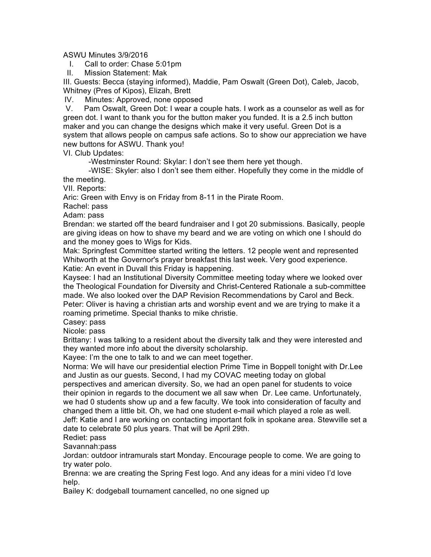## ASWU Minutes 3/9/2016

I. Call to order: Chase 5:01pm

II. Mission Statement: Mak

III. Guests: Becca (staying informed), Maddie, Pam Oswalt (Green Dot), Caleb, Jacob, Whitney (Pres of Kipos), Elizah, Brett

IV. Minutes: Approved, none opposed

V. Pam Oswalt, Green Dot: I wear a couple hats. I work as a counselor as well as for green dot. I want to thank you for the button maker you funded. It is a 2.5 inch button maker and you can change the designs which make it very useful. Green Dot is a system that allows people on campus safe actions. So to show our appreciation we have new buttons for ASWU. Thank you!

VI. Club Updates:

-Westminster Round: Skylar: I don't see them here yet though.

-WISE: Skyler: also I don't see them either. Hopefully they come in the middle of the meeting.

VII. Reports:

Aric: Green with Envy is on Friday from 8-11 in the Pirate Room.

Rachel: pass

Adam: pass

Brendan: we started off the beard fundraiser and I got 20 submissions. Basically, people are giving ideas on how to shave my beard and we are voting on which one I should do and the money goes to Wigs for Kids.

Mak: Springfest Committee started writing the letters. 12 people went and represented Whitworth at the Governor's prayer breakfast this last week. Very good experience. Katie: An event in Duvall this Friday is happening.

Kaysee: I had an Institutional Diversity Committee meeting today where we looked over the Theological Foundation for Diversity and Christ-Centered Rationale a sub-committee made. We also looked over the DAP Revision Recommendations by Carol and Beck. Peter: Oliver is having a christian arts and worship event and we are trying to make it a roaming primetime. Special thanks to mike christie.

Casey: pass

Nicole: pass

Brittany: I was talking to a resident about the diversity talk and they were interested and they wanted more info about the diversity scholarship.

Kayee: I'm the one to talk to and we can meet together.

Norma: We will have our presidential election Prime Time in Boppell tonight with Dr.Lee and Justin as our guests. Second, I had my COVAC meeting today on global perspectives and american diversity. So, we had an open panel for students to voice

their opinion in regards to the document we all saw when Dr. Lee came. Unfortunately, we had 0 students show up and a few faculty. We took into consideration of faculty and changed them a little bit. Oh, we had one student e-mail which played a role as well.

Jeff: Katie and I are working on contacting important folk in spokane area. Stewville set a date to celebrate 50 plus years. That will be April 29th.

Rediet: pass

Savannah:pass

Jordan: outdoor intramurals start Monday. Encourage people to come. We are going to try water polo.

Brenna: we are creating the Spring Fest logo. And any ideas for a mini video I'd love help.

Bailey K: dodgeball tournament cancelled, no one signed up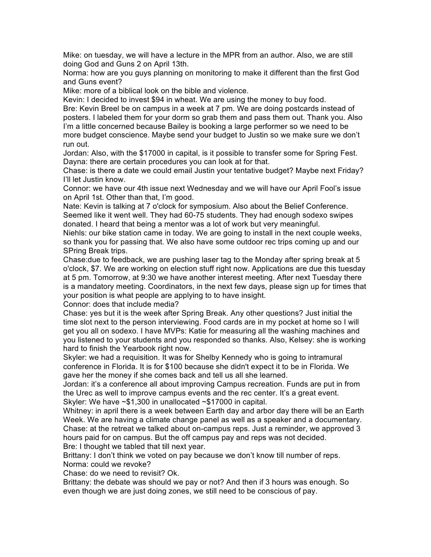Mike: on tuesday, we will have a lecture in the MPR from an author. Also, we are still doing God and Guns 2 on April 13th.

Norma: how are you guys planning on monitoring to make it different than the first God and Guns event?

Mike: more of a biblical look on the bible and violence.

Kevin: I decided to invest \$94 in wheat. We are using the money to buy food.

Bre: Kevin Breel be on campus in a week at 7 pm. We are doing postcards instead of posters. I labeled them for your dorm so grab them and pass them out. Thank you. Also I'm a little concerned because Bailey is booking a large performer so we need to be more budget conscience. Maybe send your budget to Justin so we make sure we don't run out.

Jordan: Also, with the \$17000 in capital, is it possible to transfer some for Spring Fest. Dayna: there are certain procedures you can look at for that.

Chase: is there a date we could email Justin your tentative budget? Maybe next Friday? I'll let Justin know.

Connor: we have our 4th issue next Wednesday and we will have our April Fool's issue on April 1st. Other than that, I'm good.

Nate: Kevin is talking at 7 o'clock for symposium. Also about the Belief Conference. Seemed like it went well. They had 60-75 students. They had enough sodexo swipes donated. I heard that being a mentor was a lot of work but very meaningful.

Niehls: our bike station came in today. We are going to install in the next couple weeks, so thank you for passing that. We also have some outdoor rec trips coming up and our SPring Break trips.

Chase:due to feedback, we are pushing laser tag to the Monday after spring break at 5 o'clock, \$7. We are working on election stuff right now. Applications are due this tuesday at 5 pm. Tomorrow, at 9:30 we have another interest meeting. After next Tuesday there is a mandatory meeting. Coordinators, in the next few days, please sign up for times that your position is what people are applying to to have insight.

Connor: does that include media?

Chase: yes but it is the week after Spring Break. Any other questions? Just initial the time slot next to the person interviewing. Food cards are in my pocket at home so I will get you all on sodexo. I have MVPs: Katie for measuring all the washing machines and you listened to your students and you responded so thanks. Also, Kelsey: she is working hard to finish the Yearbook right now.

Skyler: we had a requisition. It was for Shelby Kennedy who is going to intramural conference in Florida. It is for \$100 because she didn't expect it to be in Florida. We gave her the money if she comes back and tell us all she learned.

Jordan: it's a conference all about improving Campus recreation. Funds are put in from the Urec as well to improve campus events and the rec center. It's a great event. Skyler: We have ~\$1,300 in unallocated ~\$17000 in capital.

Whitney: in april there is a week between Earth day and arbor day there will be an Earth Week. We are having a climate change panel as well as a speaker and a documentary. Chase: at the retreat we talked about on-campus reps. Just a reminder, we approved 3 hours paid for on campus. But the off campus pay and reps was not decided. Bre: I thought we tabled that till next year.

Brittany: I don't think we voted on pay because we don't know till number of reps. Norma: could we revoke?

Chase: do we need to revisit? Ok.

Brittany: the debate was should we pay or not? And then if 3 hours was enough. So even though we are just doing zones, we still need to be conscious of pay.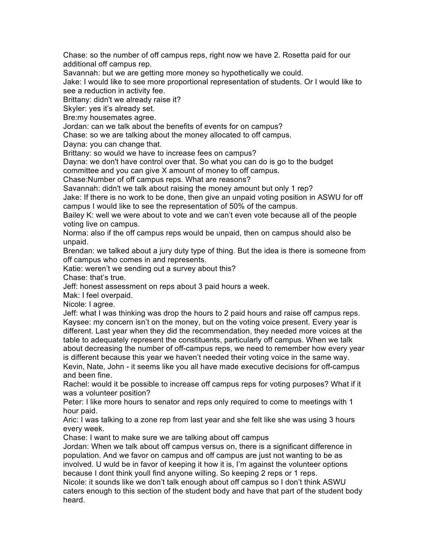Chase: so the number of off campus reps, right now we have 2. Rosetta paid for our additional off campus rep.

Savannah: but we are getting more money so hypothetically we could.

Jake: I would like to see more proportional representation of students. Or I would like to see a reduction in activity fee.

Brittany: didn't we already raise it?

Skyler: yes it's already set.

Bre:my housemates agree.

Jordan: can we talk about the benefits of events for on campus?

Chase: so we are talking about the money allocated to off campus.

Dayna: you can change that.

Brittany: so would we have to increase fees on campus?

Dayna: we don't have control over that. So what you can do is go to the budget

committee and you can give X amount of money to off campus.

Chase:Number of off campus reps. What are reasons?

Savannah: didn't we talk about raising the money amount but only 1 rep? Jake: If there is no work to be done, then give an unpaid voting position in ASWU for off campus I would like to see the representation of 50% of the campus.

Bailey K: well we were about to vote and we can't even vote because all of the people voting live on campus.

Norma: also if the off campus reps would be unpaid, then on campus should also be unpaid.

Brendan: we talked about a jury duty type of thing. But the idea is there is someone from off campus who comes in and represents.

Katie: weren't we sending out a survey about this?

Chase: that's true.

Jeff: honest assessment on reps about 3 paid hours a week.

Mak: I feel overpaid.

Nicole: I agree.

Jeff: what I was thinking was drop the hours to 2 paid hours and raise off campus reps. Kaysee: my concern isn't on the money, but on the voting voice present. Every year is different. Last year when they did the recommendation, they needed more voices at the table to adequately represent the constituents, particularly off campus. When we talk about decreasing the number of off-campus reps, we need to remember how every year is different because this year we haven't needed their voting voice in the same way. Kevin, Nate, John - it seems like you all have made executive decisions for off-campus and been fine.

Rachel: would it be possible to increase off campus reps for voting purposes? What if it was a volunteer position?

Peter: I like more hours to senator and reps only required to come to meetings with 1 hour paid.

Aric: I was talking to a zone rep from last year and she felt like she was using 3 hours every week.

Chase: I want to make sure we are talking about off campus

Jordan: When we talk about off campus versus on, there is a significant difference in population. And we favor on campus and off campus are just not wanting to be as involved. U wuld be in favor of keeping it how it is, I'm against the volunteer options because I dont think youll find anyone willing. So keeping 2 reps or 1 reps.

Nicole: it sounds like we don't talk enough about off campus so I don't think ASWU caters enough to this section of the student body and have that part of the student body heard.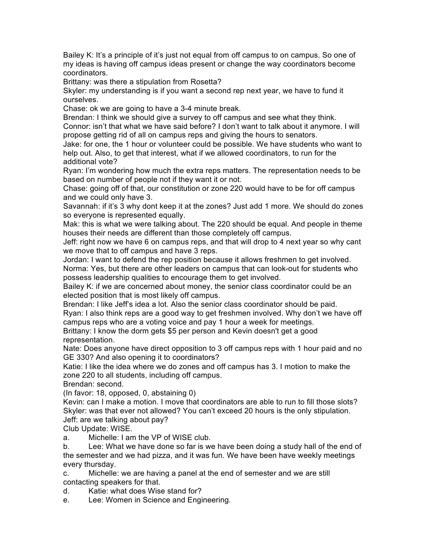Bailey K: It's a principle of it's just not equal from off campus to on campus. So one of my ideas is having off campus ideas present or change the way coordinators become coordinators.

Brittany: was there a stipulation from Rosetta?

Skyler: my understanding is if you want a second rep next year, we have to fund it ourselves.

Chase: ok we are going to have a 3-4 minute break.

Brendan: I think we should give a survey to off campus and see what they think.

Connor: isn't that what we have said before? I don't want to talk about it anymore. I will propose getting rid of all on campus reps and giving the hours to senators.

Jake: for one, the 1 hour or volunteer could be possible. We have students who want to help out. Also, to get that interest, what if we allowed coordinators, to run for the additional vote?

Ryan: I'm wondering how much the extra reps matters. The representation needs to be based on number of people not if they want it or not.

Chase: going off of that, our constitution or zone 220 would have to be for off campus and we could only have 3.

Savannah: if it's 3 why dont keep it at the zones? Just add 1 more. We should do zones so everyone is represented equally.

Mak: this is what we were talking about. The 220 should be equal. And people in theme houses their needs are different than those completely off campus.

Jeff: right now we have 6 on campus reps, and that will drop to 4 next year so why cant we move that to off campus and have 3 reps.

Jordan: I want to defend the rep position because it allows freshmen to get involved. Norma: Yes, but there are other leaders on campus that can look-out for students who possess leadership qualities to encourage them to get involved.

Bailey K: if we are concerned about money, the senior class coordinator could be an elected position that is most likely off campus.

Brendan: I like Jeff's idea a lot. Also the senior class coordinator should be paid. Ryan: I also think reps are a good way to get freshmen involved. Why don't we have off campus reps who are a voting voice and pay 1 hour a week for meetings.

Brittany: I know the dorm gets \$5 per person and Kevin doesn't get a good representation.

Nate: Does anyone have direct opposition to 3 off campus reps with 1 hour paid and no GE 330? And also opening it to coordinators?

Katie: I like the idea where we do zones and off campus has 3. I motion to make the zone 220 to all students, including off campus.

Brendan: second.

(In favor: 18, opposed, 0, abstaining 0)

Kevin: can I make a motion. I move that coordinators are able to run to fill those slots? Skyler: was that ever not allowed? You can't exceed 20 hours is the only stipulation. Jeff: are we talking about pay?

Club Update: WISE.

a. Michelle: I am the VP of WISE club.

b. Lee: What we have done so far is we have been doing a study hall of the end of the semester and we had pizza, and it was fun. We have been have weekly meetings every thursday.

c. Michelle: we are having a panel at the end of semester and we are still contacting speakers for that.

d. Katie: what does Wise stand for?

e. Lee: Women in Science and Engineering.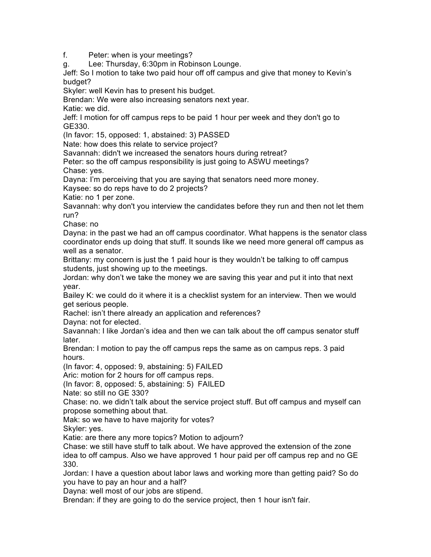f. Peter: when is your meetings?

g. Lee: Thursday, 6:30pm in Robinson Lounge.

Jeff: So I motion to take two paid hour off off campus and give that money to Kevin's budget?

Skyler: well Kevin has to present his budget.

Brendan: We were also increasing senators next year.

Katie: we did.

Jeff: I motion for off campus reps to be paid 1 hour per week and they don't go to GE330.

(In favor: 15, opposed: 1, abstained: 3) PASSED

Nate: how does this relate to service project?

Savannah: didn't we increased the senators hours during retreat?

Peter: so the off campus responsibility is just going to ASWU meetings? Chase: yes.

Dayna: I'm perceiving that you are saying that senators need more money.

Kaysee: so do reps have to do 2 projects?

Katie: no 1 per zone.

Savannah: why don't you interview the candidates before they run and then not let them run?

Chase: no

Dayna: in the past we had an off campus coordinator. What happens is the senator class coordinator ends up doing that stuff. It sounds like we need more general off campus as well as a senator.

Brittany: my concern is just the 1 paid hour is they wouldn't be talking to off campus students, just showing up to the meetings.

Jordan: why don't we take the money we are saving this year and put it into that next year.

Bailey K: we could do it where it is a checklist system for an interview. Then we would get serious people.

Rachel: isn't there already an application and references?

Dayna: not for elected.

Savannah: I like Jordan's idea and then we can talk about the off campus senator stuff later.

Brendan: I motion to pay the off campus reps the same as on campus reps. 3 paid hours.

(In favor: 4, opposed: 9, abstaining: 5) FAILED

Aric: motion for 2 hours for off campus reps.

(In favor: 8, opposed: 5, abstaining: 5) FAILED

Nate: so still no GE 330?

Chase: no. we didn't talk about the service project stuff. But off campus and myself can propose something about that.

Mak: so we have to have majority for votes?

Skyler: yes.

Katie: are there any more topics? Motion to adjourn?

Chase: we still have stuff to talk about. We have approved the extension of the zone idea to off campus. Also we have approved 1 hour paid per off campus rep and no GE 330.

Jordan: I have a question about labor laws and working more than getting paid? So do you have to pay an hour and a half?

Dayna: well most of our jobs are stipend.

Brendan: if they are going to do the service project, then 1 hour isn't fair.